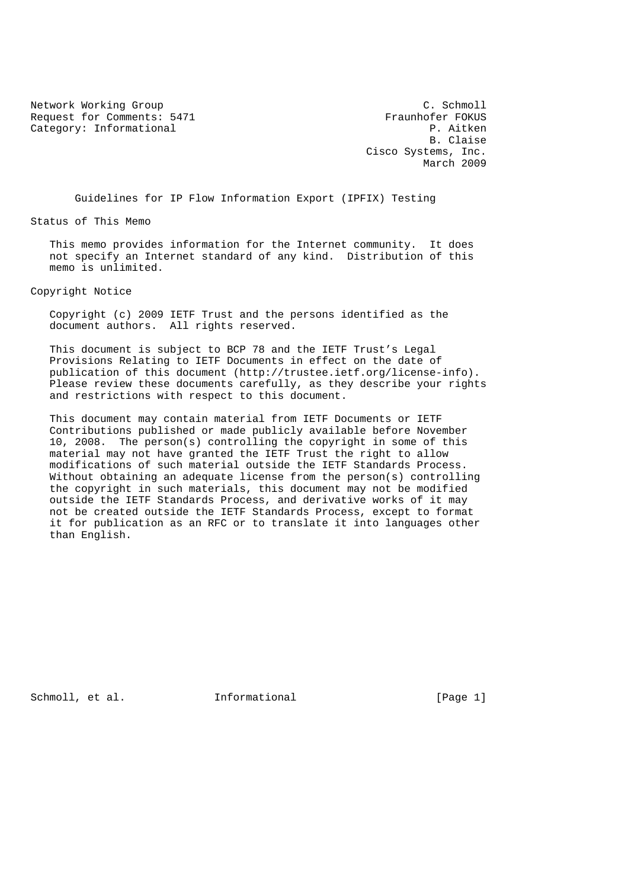Network Working Group<br>Request for Comments: 5471 Traunhofer FOKUS Request for Comments: 5471 Fraunhofer FOKUS<br>Category: Informational P. Aitken Category: Informational

 B. Claise Cisco Systems, Inc. March 2009

Guidelines for IP Flow Information Export (IPFIX) Testing

Status of This Memo

 This memo provides information for the Internet community. It does not specify an Internet standard of any kind. Distribution of this memo is unlimited.

Copyright Notice

 Copyright (c) 2009 IETF Trust and the persons identified as the document authors. All rights reserved.

 This document is subject to BCP 78 and the IETF Trust's Legal Provisions Relating to IETF Documents in effect on the date of publication of this document (http://trustee.ietf.org/license-info). Please review these documents carefully, as they describe your rights and restrictions with respect to this document.

 This document may contain material from IETF Documents or IETF Contributions published or made publicly available before November 10, 2008. The person(s) controlling the copyright in some of this material may not have granted the IETF Trust the right to allow modifications of such material outside the IETF Standards Process. Without obtaining an adequate license from the person(s) controlling the copyright in such materials, this document may not be modified outside the IETF Standards Process, and derivative works of it may not be created outside the IETF Standards Process, except to format it for publication as an RFC or to translate it into languages other than English.

Schmoll, et al. **Informational** [Page 1]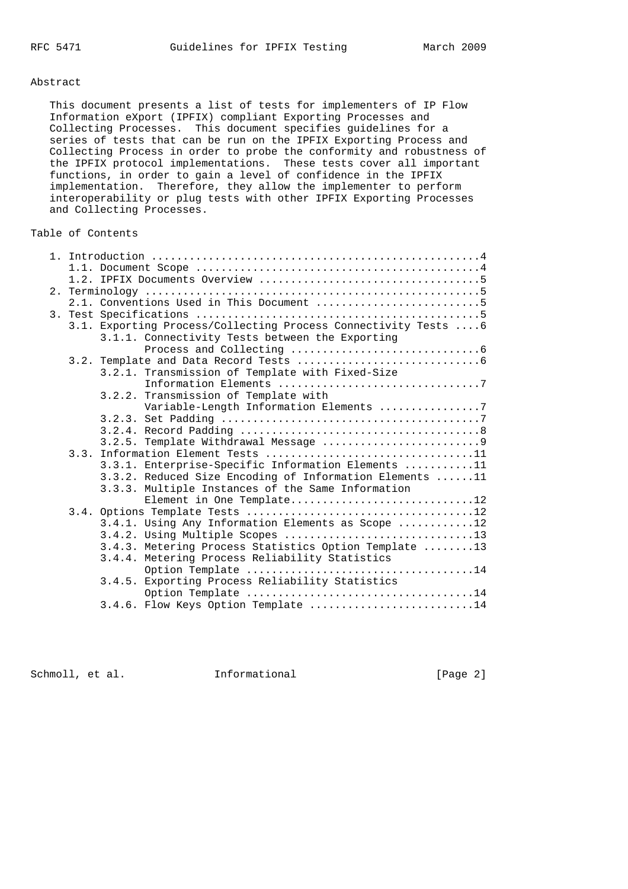#### Abstract

 This document presents a list of tests for implementers of IP Flow Information eXport (IPFIX) compliant Exporting Processes and Collecting Processes. This document specifies guidelines for a series of tests that can be run on the IPFIX Exporting Process and Collecting Process in order to probe the conformity and robustness of the IPFIX protocol implementations. These tests cover all important functions, in order to gain a level of confidence in the IPFIX implementation. Therefore, they allow the implementer to perform interoperability or plug tests with other IPFIX Exporting Processes and Collecting Processes.

## Table of Contents

|  | 2.1. Conventions Used in This Document 5                        |
|--|-----------------------------------------------------------------|
|  |                                                                 |
|  | 3.1. Exporting Process/Collecting Process Connectivity Tests  6 |
|  | 3.1.1. Connectivity Tests between the Exporting                 |
|  |                                                                 |
|  |                                                                 |
|  | 3.2.1. Transmission of Template with Fixed-Size                 |
|  |                                                                 |
|  | 3.2.2. Transmission of Template with                            |
|  | Variable-Length Information Elements 7                          |
|  |                                                                 |
|  |                                                                 |
|  |                                                                 |
|  |                                                                 |
|  | 3.3.1. Enterprise-Specific Information Elements 11              |
|  | 3.3.2. Reduced Size Encoding of Information Elements 11         |
|  | 3.3.3. Multiple Instances of the Same Information               |
|  | Element in One Template12                                       |
|  |                                                                 |
|  | 3.4.1. Using Any Information Elements as Scope 12               |
|  |                                                                 |
|  | 3.4.3. Metering Process Statistics Option Template 13           |
|  | 3.4.4. Metering Process Reliability Statistics                  |
|  | Option Template 14                                              |
|  | 3.4.5. Exporting Process Reliability Statistics                 |
|  |                                                                 |
|  | 3.4.6. Flow Keys Option Template 14                             |

Schmoll, et al. **Informational** [Page 2]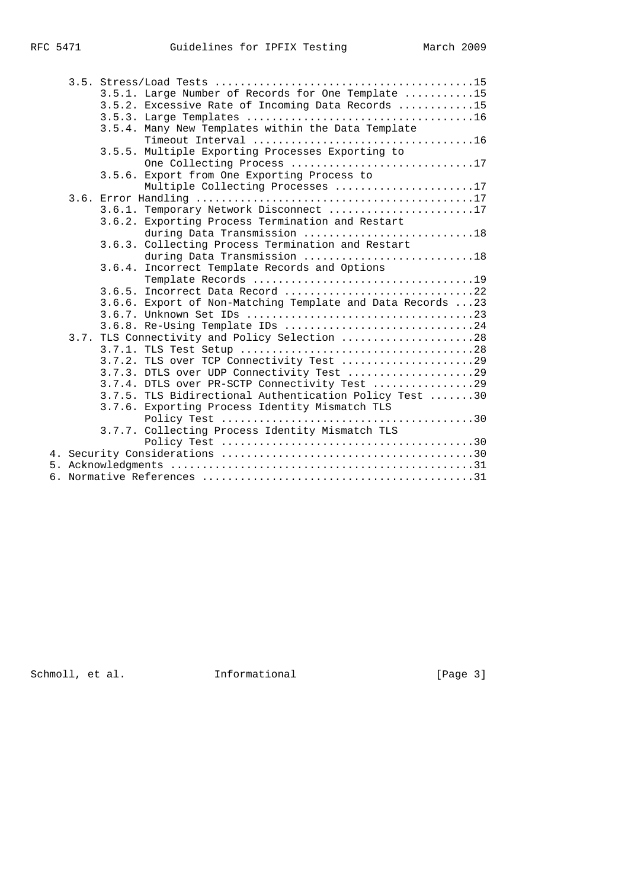|  | 3.5.1. Large Number of Records for One Template 15         |
|--|------------------------------------------------------------|
|  | 3.5.2. Excessive Rate of Incoming Data Records 15          |
|  |                                                            |
|  | 3.5.4. Many New Templates within the Data Template         |
|  |                                                            |
|  | 3.5.5. Multiple Exporting Processes Exporting to           |
|  | One Collecting Process 17                                  |
|  | 3.5.6. Export from One Exporting Process to                |
|  | Multiple Collecting Processes 17                           |
|  |                                                            |
|  | 3.6.1. Temporary Network Disconnect 17                     |
|  | 3.6.2. Exporting Process Termination and Restart           |
|  | during Data Transmission 18                                |
|  | 3.6.3. Collecting Process Termination and Restart          |
|  | during Data Transmission 18                                |
|  | 3.6.4. Incorrect Template Records and Options              |
|  |                                                            |
|  | 3.6.5. Incorrect Data Record 22                            |
|  | 3.6.6. Export of Non-Matching Template and Data Records 23 |
|  |                                                            |
|  | 3.6.8. Re-Using Template IDs 24                            |
|  | 3.7. TLS Connectivity and Policy Selection 28              |
|  |                                                            |
|  | 3.7.2. TLS over TCP Connectivity Test 29                   |
|  | 3.7.3. DTLS over UDP Connectivity Test 29                  |
|  | 3.7.4. DTLS over PR-SCTP Connectivity Test 29              |
|  | 3.7.5. TLS Bidirectional Authentication Policy Test 30     |
|  | 3.7.6. Exporting Process Identity Mismatch TLS             |
|  |                                                            |
|  | 3.7.7. Collecting Process Identity Mismatch TLS            |
|  |                                                            |
|  |                                                            |
|  |                                                            |
|  |                                                            |

Schmoll, et al. 1nformational 1999 [Page 3]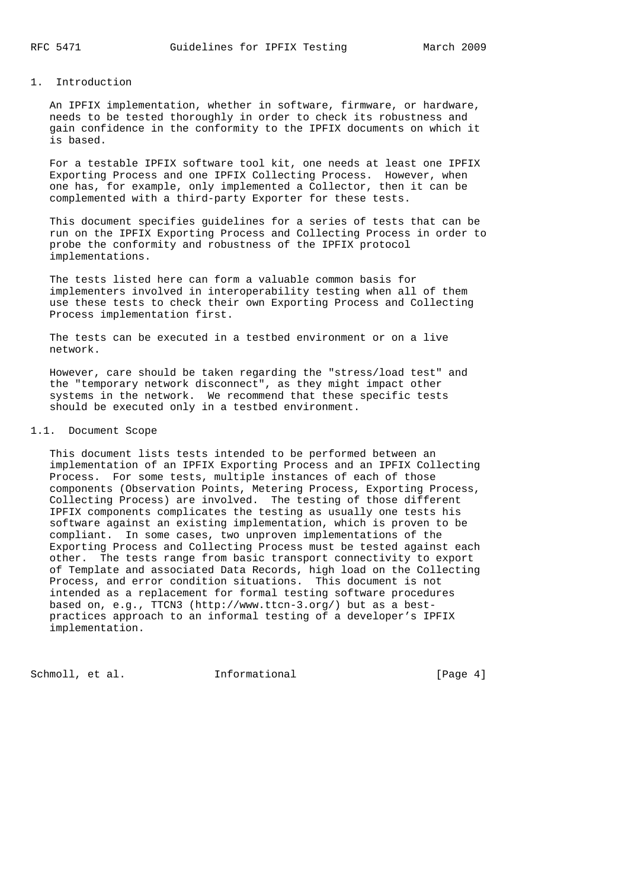## 1. Introduction

 An IPFIX implementation, whether in software, firmware, or hardware, needs to be tested thoroughly in order to check its robustness and gain confidence in the conformity to the IPFIX documents on which it is based.

 For a testable IPFIX software tool kit, one needs at least one IPFIX Exporting Process and one IPFIX Collecting Process. However, when one has, for example, only implemented a Collector, then it can be complemented with a third-party Exporter for these tests.

 This document specifies guidelines for a series of tests that can be run on the IPFIX Exporting Process and Collecting Process in order to probe the conformity and robustness of the IPFIX protocol implementations.

 The tests listed here can form a valuable common basis for implementers involved in interoperability testing when all of them use these tests to check their own Exporting Process and Collecting Process implementation first.

 The tests can be executed in a testbed environment or on a live network.

 However, care should be taken regarding the "stress/load test" and the "temporary network disconnect", as they might impact other systems in the network. We recommend that these specific tests should be executed only in a testbed environment.

## 1.1. Document Scope

 This document lists tests intended to be performed between an implementation of an IPFIX Exporting Process and an IPFIX Collecting Process. For some tests, multiple instances of each of those components (Observation Points, Metering Process, Exporting Process, Collecting Process) are involved. The testing of those different IPFIX components complicates the testing as usually one tests his software against an existing implementation, which is proven to be compliant. In some cases, two unproven implementations of the Exporting Process and Collecting Process must be tested against each other. The tests range from basic transport connectivity to export of Template and associated Data Records, high load on the Collecting Process, and error condition situations. This document is not intended as a replacement for formal testing software procedures based on, e.g., TTCN3 (http://www.ttcn-3.org/) but as a best practices approach to an informal testing of a developer's IPFIX implementation.

Schmoll, et al. **Informational** [Page 4]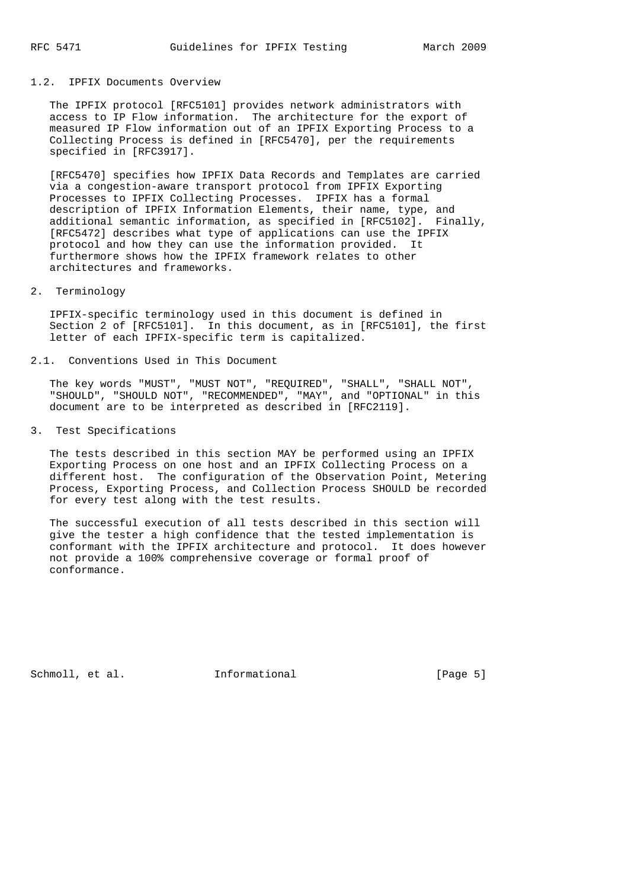## 1.2. IPFIX Documents Overview

 The IPFIX protocol [RFC5101] provides network administrators with access to IP Flow information. The architecture for the export of measured IP Flow information out of an IPFIX Exporting Process to a Collecting Process is defined in [RFC5470], per the requirements specified in [RFC3917].

 [RFC5470] specifies how IPFIX Data Records and Templates are carried via a congestion-aware transport protocol from IPFIX Exporting Processes to IPFIX Collecting Processes. IPFIX has a formal description of IPFIX Information Elements, their name, type, and additional semantic information, as specified in [RFC5102]. Finally, [RFC5472] describes what type of applications can use the IPFIX protocol and how they can use the information provided. It furthermore shows how the IPFIX framework relates to other architectures and frameworks.

### 2. Terminology

 IPFIX-specific terminology used in this document is defined in Section 2 of [RFC5101]. In this document, as in [RFC5101], the first letter of each IPFIX-specific term is capitalized.

2.1. Conventions Used in This Document

 The key words "MUST", "MUST NOT", "REQUIRED", "SHALL", "SHALL NOT", "SHOULD", "SHOULD NOT", "RECOMMENDED", "MAY", and "OPTIONAL" in this document are to be interpreted as described in [RFC2119].

3. Test Specifications

 The tests described in this section MAY be performed using an IPFIX Exporting Process on one host and an IPFIX Collecting Process on a different host. The configuration of the Observation Point, Metering Process, Exporting Process, and Collection Process SHOULD be recorded for every test along with the test results.

 The successful execution of all tests described in this section will give the tester a high confidence that the tested implementation is conformant with the IPFIX architecture and protocol. It does however not provide a 100% comprehensive coverage or formal proof of conformance.

Schmoll, et al. **Informational** [Page 5]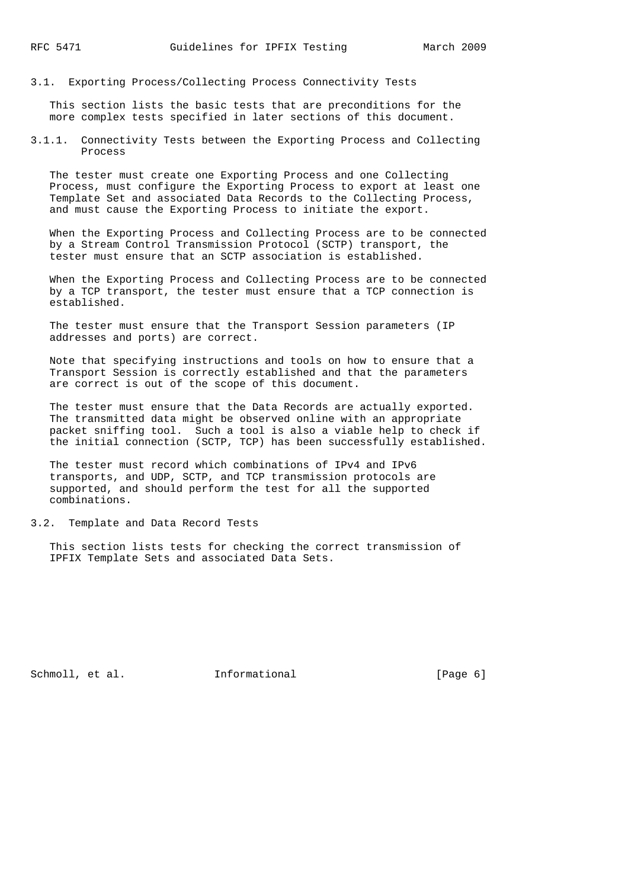3.1. Exporting Process/Collecting Process Connectivity Tests

 This section lists the basic tests that are preconditions for the more complex tests specified in later sections of this document.

3.1.1. Connectivity Tests between the Exporting Process and Collecting Process

 The tester must create one Exporting Process and one Collecting Process, must configure the Exporting Process to export at least one Template Set and associated Data Records to the Collecting Process, and must cause the Exporting Process to initiate the export.

 When the Exporting Process and Collecting Process are to be connected by a Stream Control Transmission Protocol (SCTP) transport, the tester must ensure that an SCTP association is established.

 When the Exporting Process and Collecting Process are to be connected by a TCP transport, the tester must ensure that a TCP connection is established.

 The tester must ensure that the Transport Session parameters (IP addresses and ports) are correct.

 Note that specifying instructions and tools on how to ensure that a Transport Session is correctly established and that the parameters are correct is out of the scope of this document.

 The tester must ensure that the Data Records are actually exported. The transmitted data might be observed online with an appropriate packet sniffing tool. Such a tool is also a viable help to check if the initial connection (SCTP, TCP) has been successfully established.

 The tester must record which combinations of IPv4 and IPv6 transports, and UDP, SCTP, and TCP transmission protocols are supported, and should perform the test for all the supported combinations.

3.2. Template and Data Record Tests

 This section lists tests for checking the correct transmission of IPFIX Template Sets and associated Data Sets.

Schmoll, et al. **Informational** [Page 6]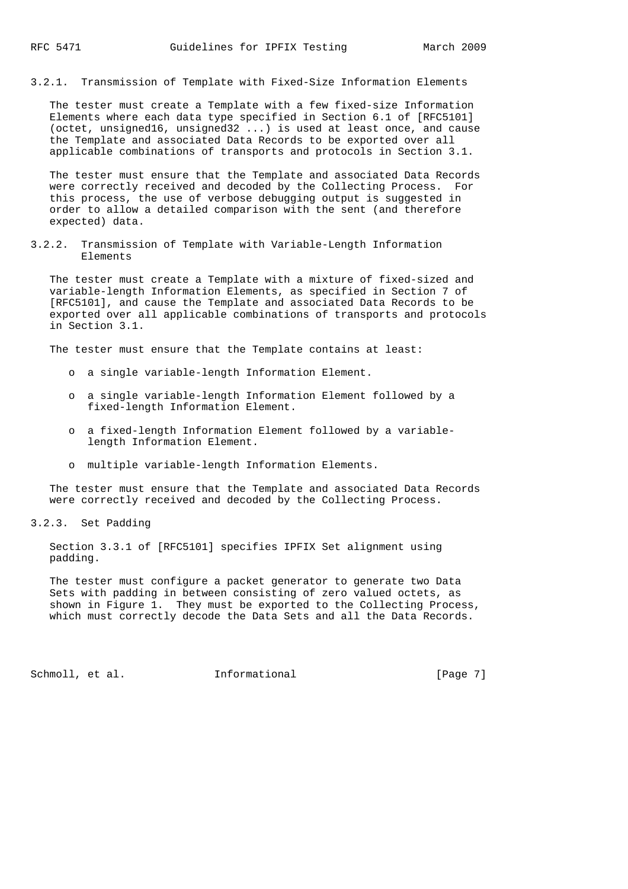3.2.1. Transmission of Template with Fixed-Size Information Elements

 The tester must create a Template with a few fixed-size Information Elements where each data type specified in Section 6.1 of [RFC5101] (octet, unsigned16, unsigned32 ...) is used at least once, and cause the Template and associated Data Records to be exported over all applicable combinations of transports and protocols in Section 3.1.

 The tester must ensure that the Template and associated Data Records were correctly received and decoded by the Collecting Process. For this process, the use of verbose debugging output is suggested in order to allow a detailed comparison with the sent (and therefore expected) data.

3.2.2. Transmission of Template with Variable-Length Information Elements

 The tester must create a Template with a mixture of fixed-sized and variable-length Information Elements, as specified in Section 7 of [RFC5101], and cause the Template and associated Data Records to be exported over all applicable combinations of transports and protocols in Section 3.1.

The tester must ensure that the Template contains at least:

- o a single variable-length Information Element.
- o a single variable-length Information Element followed by a fixed-length Information Element.
- o a fixed-length Information Element followed by a variable length Information Element.
- o multiple variable-length Information Elements.

 The tester must ensure that the Template and associated Data Records were correctly received and decoded by the Collecting Process.

3.2.3. Set Padding

 Section 3.3.1 of [RFC5101] specifies IPFIX Set alignment using padding.

 The tester must configure a packet generator to generate two Data Sets with padding in between consisting of zero valued octets, as shown in Figure 1. They must be exported to the Collecting Process, which must correctly decode the Data Sets and all the Data Records.

Schmoll, et al. **Informational** [Page 7]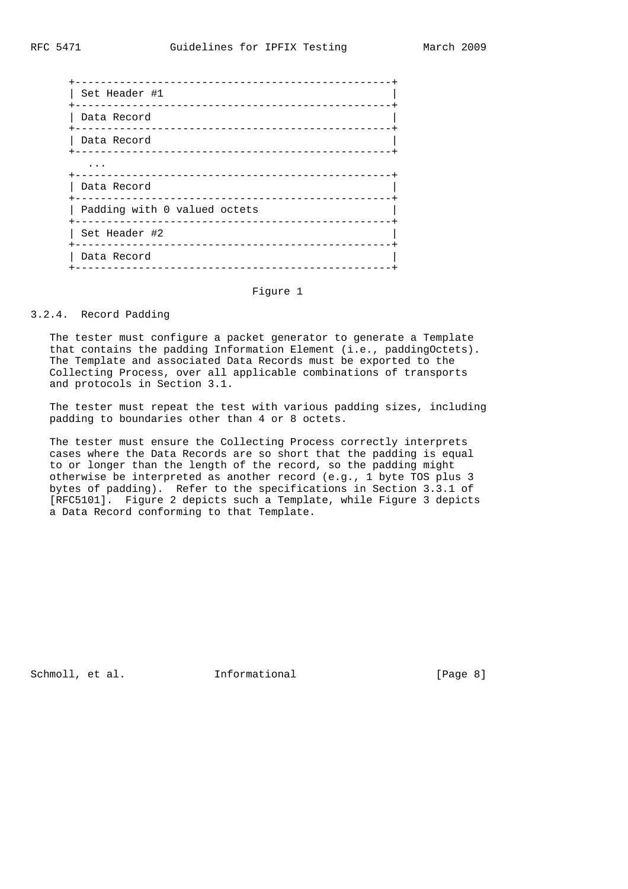| Set Header #1                |
|------------------------------|
| Data Record                  |
| Data Record                  |
| .                            |
| Data Record                  |
| Padding with 0 valued octets |
| Set Header #2                |
| Data Record<br>-----------   |
|                              |

## Figure 1

# 3.2.4. Record Padding

 The tester must configure a packet generator to generate a Template that contains the padding Information Element (i.e., paddingOctets). The Template and associated Data Records must be exported to the Collecting Process, over all applicable combinations of transports and protocols in Section 3.1.

 The tester must repeat the test with various padding sizes, including padding to boundaries other than 4 or 8 octets.

 The tester must ensure the Collecting Process correctly interprets cases where the Data Records are so short that the padding is equal to or longer than the length of the record, so the padding might otherwise be interpreted as another record (e.g., 1 byte TOS plus 3 bytes of padding). Refer to the specifications in Section 3.3.1 of [RFC5101]. Figure 2 depicts such a Template, while Figure 3 depicts a Data Record conforming to that Template.

Schmoll, et al. **Informational** [Page 8]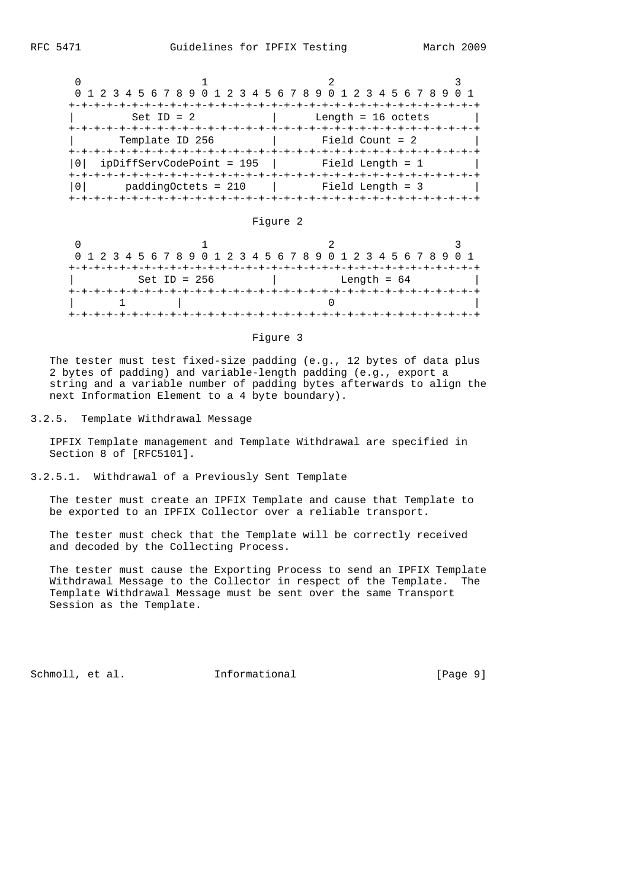| 0 1 2 3 4 5 6 7 8 9 0 1 2 3 4 5 6 7 8 9 0 1 2 3 4 5 6 7 8 9 |                      |  |
|-------------------------------------------------------------|----------------------|--|
| $Set ID = 2$                                                | Length = $16$ octets |  |
| Template ID 256                                             | Field Count = $2$    |  |
| ipDiffServCodePoint = 195                                   | Field Length = 1     |  |
| $paddingOctets = 210$                                       | Field Length = 3     |  |

#### Figure 2

|                | 0 1 2 3 4 5 6 7 8 9 0 1 2 3 4 5 6 7 8 9 0 1 2 3 4 5 6 7 8 9 0 1 |  |
|----------------|-----------------------------------------------------------------|--|
|                |                                                                 |  |
| Set ID = $256$ | Length = $64$                                                   |  |
|                |                                                                 |  |
|                |                                                                 |  |
|                |                                                                 |  |

#### Figure 3

 The tester must test fixed-size padding (e.g., 12 bytes of data plus 2 bytes of padding) and variable-length padding (e.g., export a string and a variable number of padding bytes afterwards to align the next Information Element to a 4 byte boundary).

3.2.5. Template Withdrawal Message

 IPFIX Template management and Template Withdrawal are specified in Section 8 of [RFC5101].

3.2.5.1. Withdrawal of a Previously Sent Template

 The tester must create an IPFIX Template and cause that Template to be exported to an IPFIX Collector over a reliable transport.

 The tester must check that the Template will be correctly received and decoded by the Collecting Process.

 The tester must cause the Exporting Process to send an IPFIX Template Withdrawal Message to the Collector in respect of the Template. The Template Withdrawal Message must be sent over the same Transport Session as the Template.

Schmoll, et al. **Informational** [Page 9]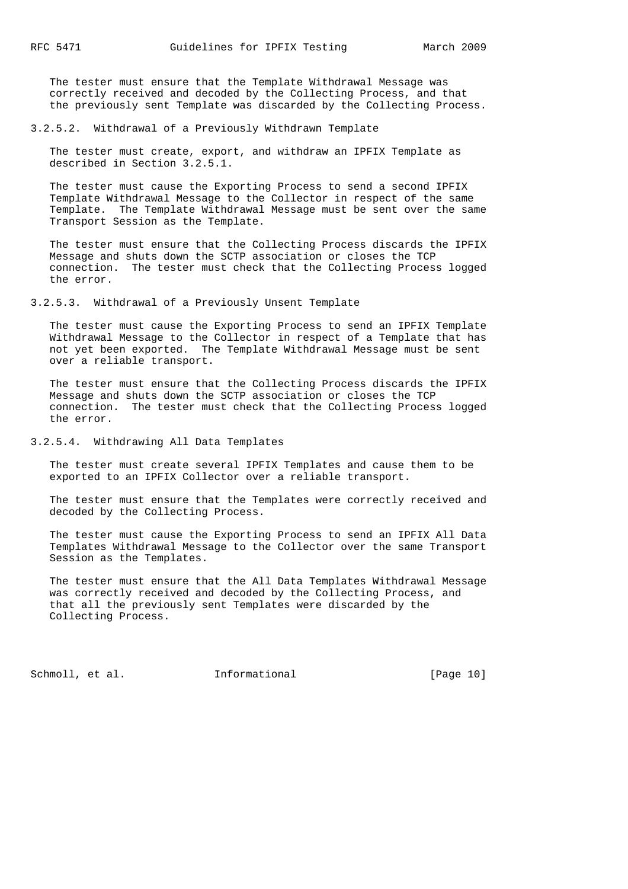The tester must ensure that the Template Withdrawal Message was correctly received and decoded by the Collecting Process, and that the previously sent Template was discarded by the Collecting Process.

3.2.5.2. Withdrawal of a Previously Withdrawn Template

 The tester must create, export, and withdraw an IPFIX Template as described in Section 3.2.5.1.

 The tester must cause the Exporting Process to send a second IPFIX Template Withdrawal Message to the Collector in respect of the same Template. The Template Withdrawal Message must be sent over the same Transport Session as the Template.

 The tester must ensure that the Collecting Process discards the IPFIX Message and shuts down the SCTP association or closes the TCP connection. The tester must check that the Collecting Process logged the error.

3.2.5.3. Withdrawal of a Previously Unsent Template

 The tester must cause the Exporting Process to send an IPFIX Template Withdrawal Message to the Collector in respect of a Template that has not yet been exported. The Template Withdrawal Message must be sent over a reliable transport.

 The tester must ensure that the Collecting Process discards the IPFIX Message and shuts down the SCTP association or closes the TCP connection. The tester must check that the Collecting Process logged the error.

3.2.5.4. Withdrawing All Data Templates

 The tester must create several IPFIX Templates and cause them to be exported to an IPFIX Collector over a reliable transport.

 The tester must ensure that the Templates were correctly received and decoded by the Collecting Process.

 The tester must cause the Exporting Process to send an IPFIX All Data Templates Withdrawal Message to the Collector over the same Transport Session as the Templates.

 The tester must ensure that the All Data Templates Withdrawal Message was correctly received and decoded by the Collecting Process, and that all the previously sent Templates were discarded by the Collecting Process.

Schmoll, et al. **Informational** [Page 10]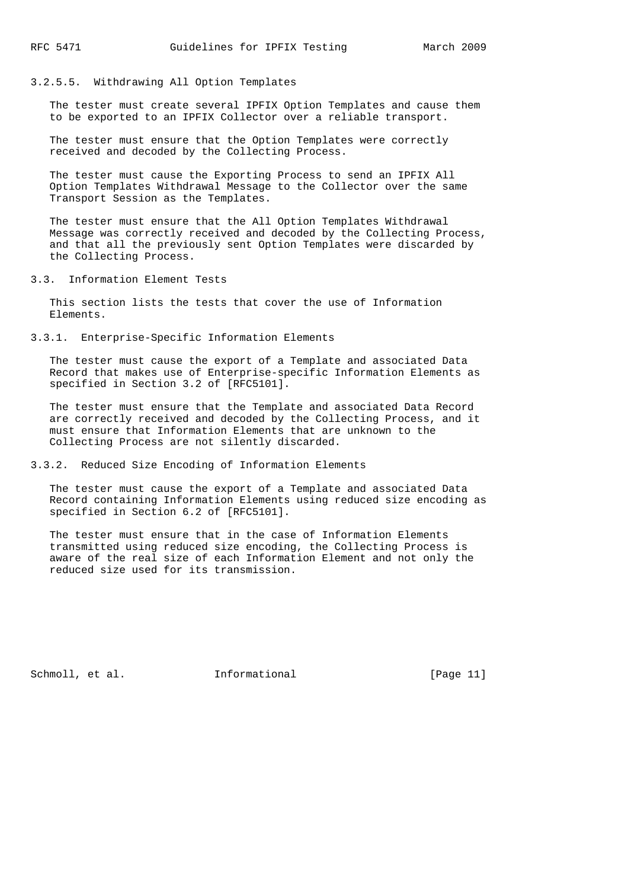#### 3.2.5.5. Withdrawing All Option Templates

 The tester must create several IPFIX Option Templates and cause them to be exported to an IPFIX Collector over a reliable transport.

 The tester must ensure that the Option Templates were correctly received and decoded by the Collecting Process.

 The tester must cause the Exporting Process to send an IPFIX All Option Templates Withdrawal Message to the Collector over the same Transport Session as the Templates.

 The tester must ensure that the All Option Templates Withdrawal Message was correctly received and decoded by the Collecting Process, and that all the previously sent Option Templates were discarded by the Collecting Process.

3.3. Information Element Tests

 This section lists the tests that cover the use of Information Elements.

## 3.3.1. Enterprise-Specific Information Elements

 The tester must cause the export of a Template and associated Data Record that makes use of Enterprise-specific Information Elements as specified in Section 3.2 of [RFC5101].

 The tester must ensure that the Template and associated Data Record are correctly received and decoded by the Collecting Process, and it must ensure that Information Elements that are unknown to the Collecting Process are not silently discarded.

## 3.3.2. Reduced Size Encoding of Information Elements

 The tester must cause the export of a Template and associated Data Record containing Information Elements using reduced size encoding as specified in Section 6.2 of [RFC5101].

 The tester must ensure that in the case of Information Elements transmitted using reduced size encoding, the Collecting Process is aware of the real size of each Information Element and not only the reduced size used for its transmission.

Schmoll, et al. **Informational** [Page 11]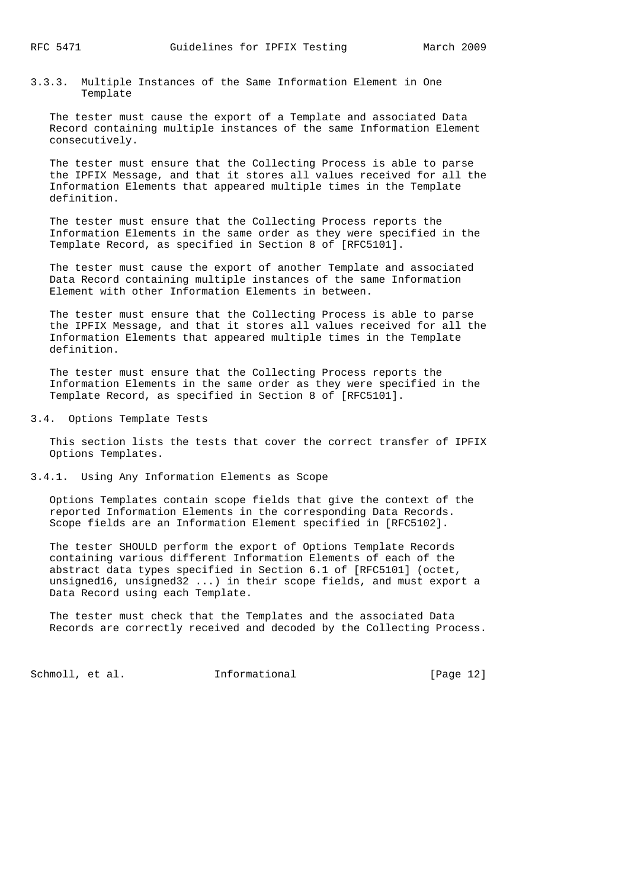3.3.3. Multiple Instances of the Same Information Element in One Template

 The tester must cause the export of a Template and associated Data Record containing multiple instances of the same Information Element consecutively.

 The tester must ensure that the Collecting Process is able to parse the IPFIX Message, and that it stores all values received for all the Information Elements that appeared multiple times in the Template definition.

 The tester must ensure that the Collecting Process reports the Information Elements in the same order as they were specified in the Template Record, as specified in Section 8 of [RFC5101].

 The tester must cause the export of another Template and associated Data Record containing multiple instances of the same Information Element with other Information Elements in between.

 The tester must ensure that the Collecting Process is able to parse the IPFIX Message, and that it stores all values received for all the Information Elements that appeared multiple times in the Template definition.

 The tester must ensure that the Collecting Process reports the Information Elements in the same order as they were specified in the Template Record, as specified in Section 8 of [RFC5101].

3.4. Options Template Tests

 This section lists the tests that cover the correct transfer of IPFIX Options Templates.

3.4.1. Using Any Information Elements as Scope

 Options Templates contain scope fields that give the context of the reported Information Elements in the corresponding Data Records. Scope fields are an Information Element specified in [RFC5102].

 The tester SHOULD perform the export of Options Template Records containing various different Information Elements of each of the abstract data types specified in Section 6.1 of [RFC5101] (octet, unsigned16, unsigned32 ...) in their scope fields, and must export a Data Record using each Template.

 The tester must check that the Templates and the associated Data Records are correctly received and decoded by the Collecting Process.

Schmoll, et al. **Informational** [Page 12]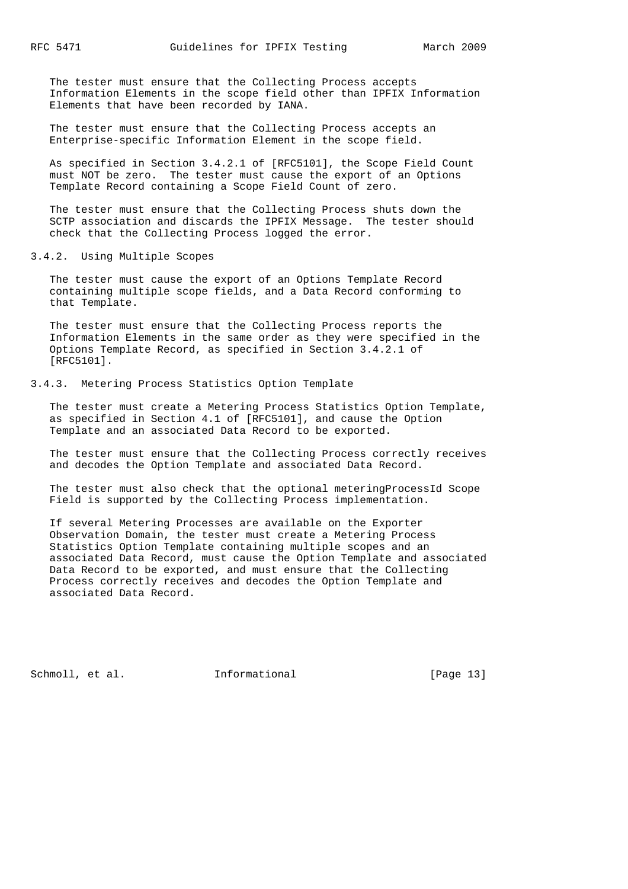The tester must ensure that the Collecting Process accepts Information Elements in the scope field other than IPFIX Information Elements that have been recorded by IANA.

 The tester must ensure that the Collecting Process accepts an Enterprise-specific Information Element in the scope field.

 As specified in Section 3.4.2.1 of [RFC5101], the Scope Field Count must NOT be zero. The tester must cause the export of an Options Template Record containing a Scope Field Count of zero.

 The tester must ensure that the Collecting Process shuts down the SCTP association and discards the IPFIX Message. The tester should check that the Collecting Process logged the error.

3.4.2. Using Multiple Scopes

 The tester must cause the export of an Options Template Record containing multiple scope fields, and a Data Record conforming to that Template.

 The tester must ensure that the Collecting Process reports the Information Elements in the same order as they were specified in the Options Template Record, as specified in Section 3.4.2.1 of [RFC5101].

3.4.3. Metering Process Statistics Option Template

 The tester must create a Metering Process Statistics Option Template, as specified in Section 4.1 of [RFC5101], and cause the Option Template and an associated Data Record to be exported.

 The tester must ensure that the Collecting Process correctly receives and decodes the Option Template and associated Data Record.

 The tester must also check that the optional meteringProcessId Scope Field is supported by the Collecting Process implementation.

 If several Metering Processes are available on the Exporter Observation Domain, the tester must create a Metering Process Statistics Option Template containing multiple scopes and an associated Data Record, must cause the Option Template and associated Data Record to be exported, and must ensure that the Collecting Process correctly receives and decodes the Option Template and associated Data Record.

Schmoll, et al. **Informational** [Page 13]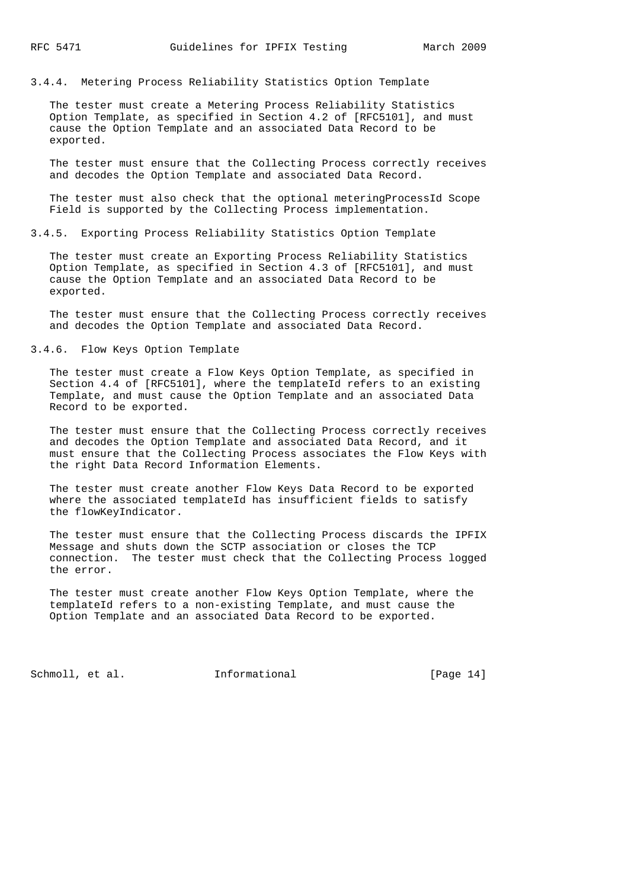3.4.4. Metering Process Reliability Statistics Option Template

 The tester must create a Metering Process Reliability Statistics Option Template, as specified in Section 4.2 of [RFC5101], and must cause the Option Template and an associated Data Record to be exported.

 The tester must ensure that the Collecting Process correctly receives and decodes the Option Template and associated Data Record.

 The tester must also check that the optional meteringProcessId Scope Field is supported by the Collecting Process implementation.

3.4.5. Exporting Process Reliability Statistics Option Template

 The tester must create an Exporting Process Reliability Statistics Option Template, as specified in Section 4.3 of [RFC5101], and must cause the Option Template and an associated Data Record to be exported.

 The tester must ensure that the Collecting Process correctly receives and decodes the Option Template and associated Data Record.

# 3.4.6. Flow Keys Option Template

 The tester must create a Flow Keys Option Template, as specified in Section 4.4 of [RFC5101], where the templateId refers to an existing Template, and must cause the Option Template and an associated Data Record to be exported.

 The tester must ensure that the Collecting Process correctly receives and decodes the Option Template and associated Data Record, and it must ensure that the Collecting Process associates the Flow Keys with the right Data Record Information Elements.

 The tester must create another Flow Keys Data Record to be exported where the associated templateId has insufficient fields to satisfy the flowKeyIndicator.

 The tester must ensure that the Collecting Process discards the IPFIX Message and shuts down the SCTP association or closes the TCP connection. The tester must check that the Collecting Process logged the error.

 The tester must create another Flow Keys Option Template, where the templateId refers to a non-existing Template, and must cause the Option Template and an associated Data Record to be exported.

Schmoll, et al. **Informational** [Page 14]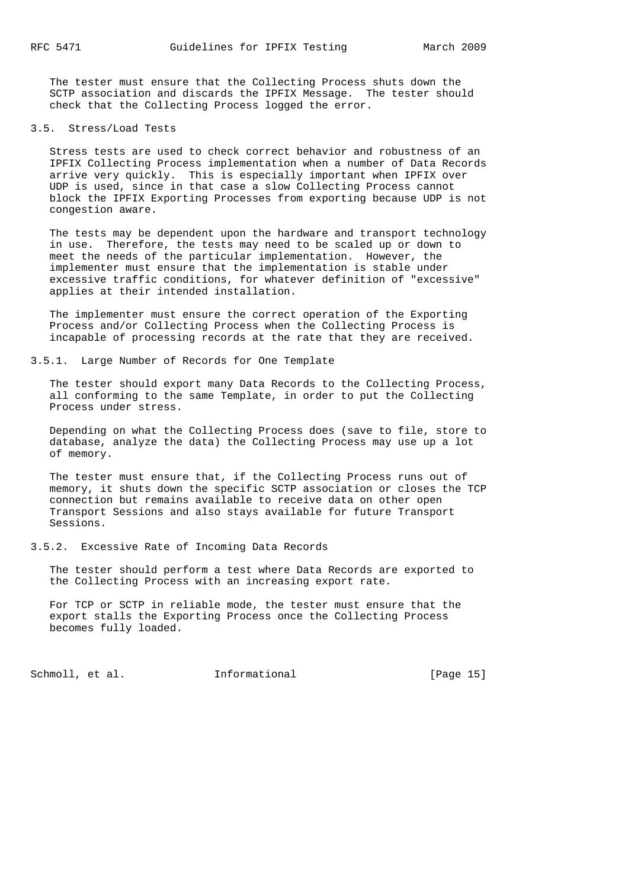The tester must ensure that the Collecting Process shuts down the SCTP association and discards the IPFIX Message. The tester should check that the Collecting Process logged the error.

# 3.5. Stress/Load Tests

 Stress tests are used to check correct behavior and robustness of an IPFIX Collecting Process implementation when a number of Data Records arrive very quickly. This is especially important when IPFIX over UDP is used, since in that case a slow Collecting Process cannot block the IPFIX Exporting Processes from exporting because UDP is not congestion aware.

 The tests may be dependent upon the hardware and transport technology in use. Therefore, the tests may need to be scaled up or down to meet the needs of the particular implementation. However, the implementer must ensure that the implementation is stable under excessive traffic conditions, for whatever definition of "excessive" applies at their intended installation.

 The implementer must ensure the correct operation of the Exporting Process and/or Collecting Process when the Collecting Process is incapable of processing records at the rate that they are received.

# 3.5.1. Large Number of Records for One Template

 The tester should export many Data Records to the Collecting Process, all conforming to the same Template, in order to put the Collecting Process under stress.

 Depending on what the Collecting Process does (save to file, store to database, analyze the data) the Collecting Process may use up a lot of memory.

 The tester must ensure that, if the Collecting Process runs out of memory, it shuts down the specific SCTP association or closes the TCP connection but remains available to receive data on other open Transport Sessions and also stays available for future Transport Sessions.

## 3.5.2. Excessive Rate of Incoming Data Records

 The tester should perform a test where Data Records are exported to the Collecting Process with an increasing export rate.

 For TCP or SCTP in reliable mode, the tester must ensure that the export stalls the Exporting Process once the Collecting Process becomes fully loaded.

Schmoll, et al. **Informational** [Page 15]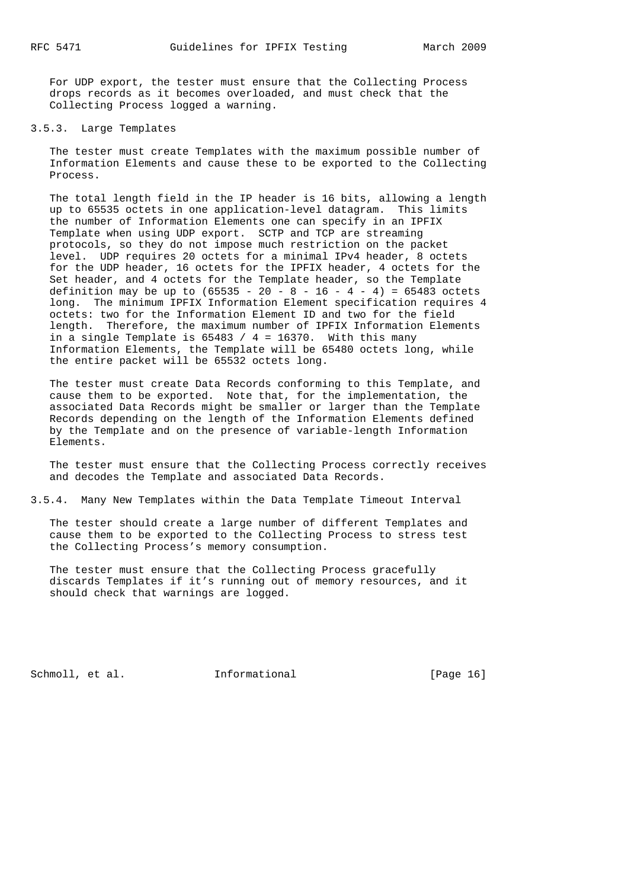For UDP export, the tester must ensure that the Collecting Process drops records as it becomes overloaded, and must check that the Collecting Process logged a warning.

### 3.5.3. Large Templates

 The tester must create Templates with the maximum possible number of Information Elements and cause these to be exported to the Collecting Process.

 The total length field in the IP header is 16 bits, allowing a length up to 65535 octets in one application-level datagram. This limits the number of Information Elements one can specify in an IPFIX Template when using UDP export. SCTP and TCP are streaming protocols, so they do not impose much restriction on the packet level. UDP requires 20 octets for a minimal IPv4 header, 8 octets for the UDP header, 16 octets for the IPFIX header, 4 octets for the Set header, and 4 octets for the Template header, so the Template definition may be up to  $(65535 - 20 - 8 - 16 - 4 - 4) = 65483$  octets long. The minimum IPFIX Information Element specification requires 4 octets: two for the Information Element ID and two for the field length. Therefore, the maximum number of IPFIX Information Elements in a single Template is 65483 / 4 = 16370. With this many Information Elements, the Template will be 65480 octets long, while the entire packet will be 65532 octets long.

 The tester must create Data Records conforming to this Template, and cause them to be exported. Note that, for the implementation, the associated Data Records might be smaller or larger than the Template Records depending on the length of the Information Elements defined by the Template and on the presence of variable-length Information Elements.

 The tester must ensure that the Collecting Process correctly receives and decodes the Template and associated Data Records.

3.5.4. Many New Templates within the Data Template Timeout Interval

 The tester should create a large number of different Templates and cause them to be exported to the Collecting Process to stress test the Collecting Process's memory consumption.

 The tester must ensure that the Collecting Process gracefully discards Templates if it's running out of memory resources, and it should check that warnings are logged.

Schmoll, et al. **Informational** [Page 16]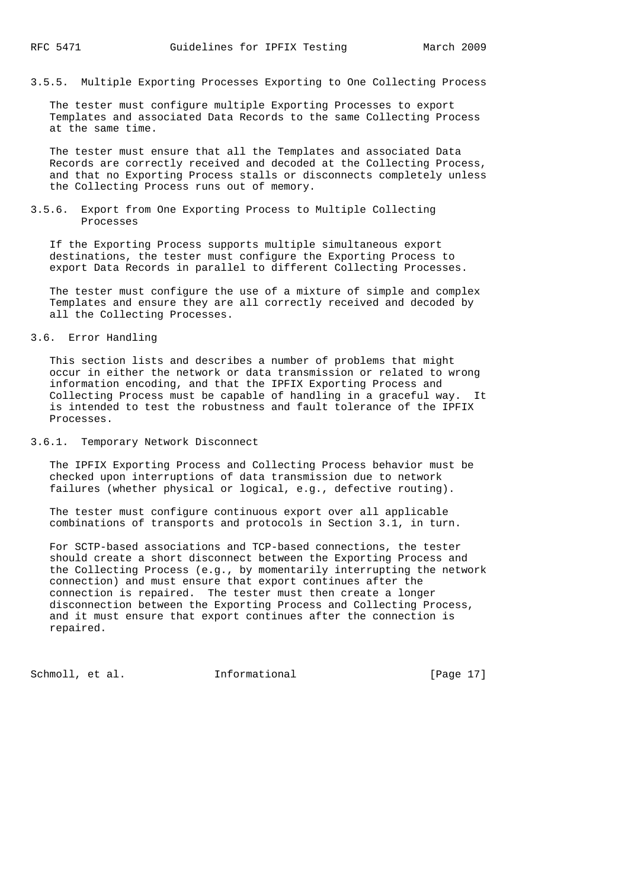3.5.5. Multiple Exporting Processes Exporting to One Collecting Process

 The tester must configure multiple Exporting Processes to export Templates and associated Data Records to the same Collecting Process at the same time.

 The tester must ensure that all the Templates and associated Data Records are correctly received and decoded at the Collecting Process, and that no Exporting Process stalls or disconnects completely unless the Collecting Process runs out of memory.

#### 3.5.6. Export from One Exporting Process to Multiple Collecting Processes

 If the Exporting Process supports multiple simultaneous export destinations, the tester must configure the Exporting Process to export Data Records in parallel to different Collecting Processes.

 The tester must configure the use of a mixture of simple and complex Templates and ensure they are all correctly received and decoded by all the Collecting Processes.

## 3.6. Error Handling

 This section lists and describes a number of problems that might occur in either the network or data transmission or related to wrong information encoding, and that the IPFIX Exporting Process and Collecting Process must be capable of handling in a graceful way. It is intended to test the robustness and fault tolerance of the IPFIX Processes.

## 3.6.1. Temporary Network Disconnect

 The IPFIX Exporting Process and Collecting Process behavior must be checked upon interruptions of data transmission due to network failures (whether physical or logical, e.g., defective routing).

 The tester must configure continuous export over all applicable combinations of transports and protocols in Section 3.1, in turn.

 For SCTP-based associations and TCP-based connections, the tester should create a short disconnect between the Exporting Process and the Collecting Process (e.g., by momentarily interrupting the network connection) and must ensure that export continues after the connection is repaired. The tester must then create a longer disconnection between the Exporting Process and Collecting Process, and it must ensure that export continues after the connection is repaired.

Schmoll, et al. **Informational** [Page 17]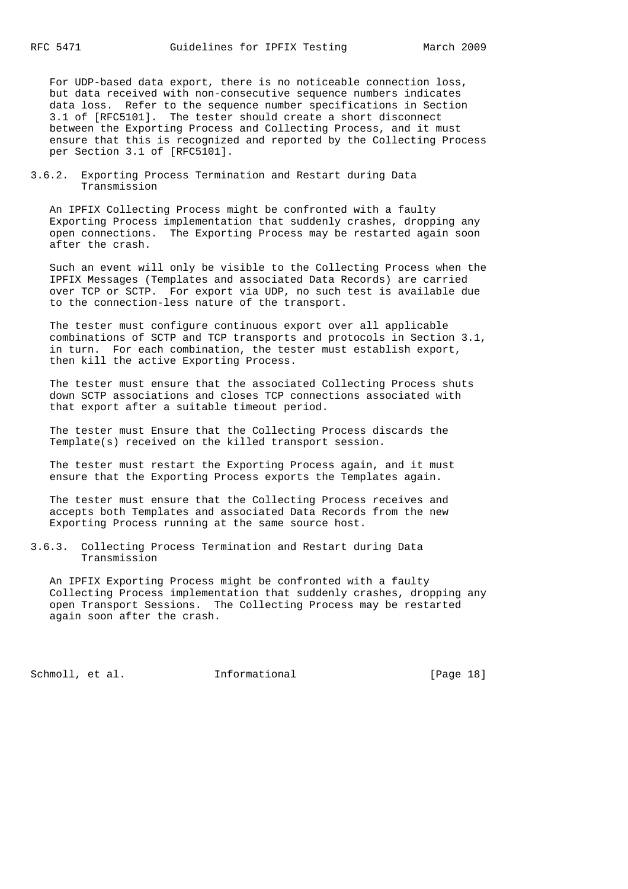For UDP-based data export, there is no noticeable connection loss, but data received with non-consecutive sequence numbers indicates data loss. Refer to the sequence number specifications in Section 3.1 of [RFC5101]. The tester should create a short disconnect between the Exporting Process and Collecting Process, and it must ensure that this is recognized and reported by the Collecting Process per Section 3.1 of [RFC5101].

3.6.2. Exporting Process Termination and Restart during Data Transmission

 An IPFIX Collecting Process might be confronted with a faulty Exporting Process implementation that suddenly crashes, dropping any open connections. The Exporting Process may be restarted again soon after the crash.

 Such an event will only be visible to the Collecting Process when the IPFIX Messages (Templates and associated Data Records) are carried over TCP or SCTP. For export via UDP, no such test is available due to the connection-less nature of the transport.

 The tester must configure continuous export over all applicable combinations of SCTP and TCP transports and protocols in Section 3.1, in turn. For each combination, the tester must establish export, then kill the active Exporting Process.

 The tester must ensure that the associated Collecting Process shuts down SCTP associations and closes TCP connections associated with that export after a suitable timeout period.

 The tester must Ensure that the Collecting Process discards the Template(s) received on the killed transport session.

 The tester must restart the Exporting Process again, and it must ensure that the Exporting Process exports the Templates again.

 The tester must ensure that the Collecting Process receives and accepts both Templates and associated Data Records from the new Exporting Process running at the same source host.

3.6.3. Collecting Process Termination and Restart during Data Transmission

 An IPFIX Exporting Process might be confronted with a faulty Collecting Process implementation that suddenly crashes, dropping any open Transport Sessions. The Collecting Process may be restarted again soon after the crash.

Schmoll, et al. **Informational** [Page 18]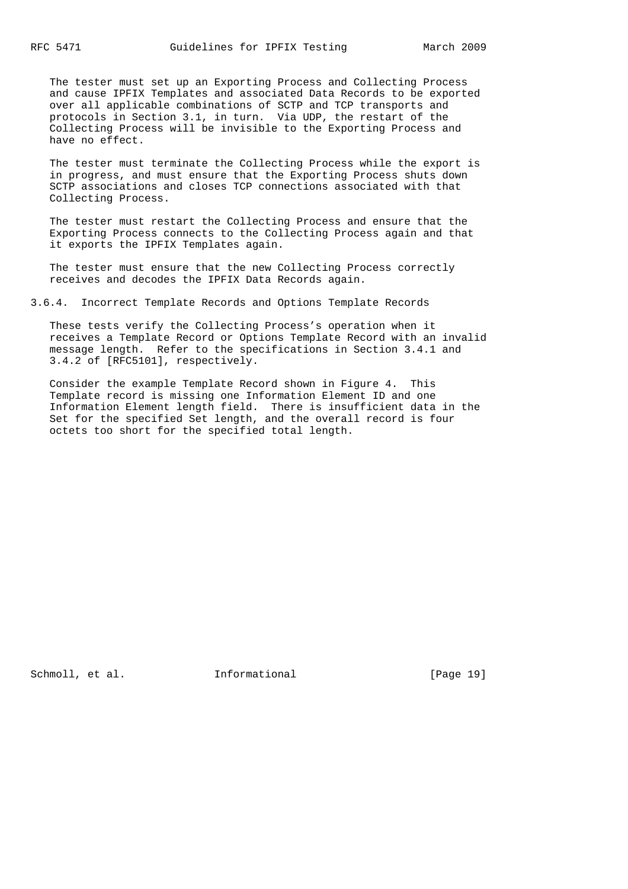The tester must set up an Exporting Process and Collecting Process and cause IPFIX Templates and associated Data Records to be exported over all applicable combinations of SCTP and TCP transports and protocols in Section 3.1, in turn. Via UDP, the restart of the Collecting Process will be invisible to the Exporting Process and have no effect.

 The tester must terminate the Collecting Process while the export is in progress, and must ensure that the Exporting Process shuts down SCTP associations and closes TCP connections associated with that Collecting Process.

 The tester must restart the Collecting Process and ensure that the Exporting Process connects to the Collecting Process again and that it exports the IPFIX Templates again.

 The tester must ensure that the new Collecting Process correctly receives and decodes the IPFIX Data Records again.

3.6.4. Incorrect Template Records and Options Template Records

 These tests verify the Collecting Process's operation when it receives a Template Record or Options Template Record with an invalid message length. Refer to the specifications in Section 3.4.1 and 3.4.2 of [RFC5101], respectively.

 Consider the example Template Record shown in Figure 4. This Template record is missing one Information Element ID and one Information Element length field. There is insufficient data in the Set for the specified Set length, and the overall record is four octets too short for the specified total length.

Schmoll, et al. **Informational** [Page 19]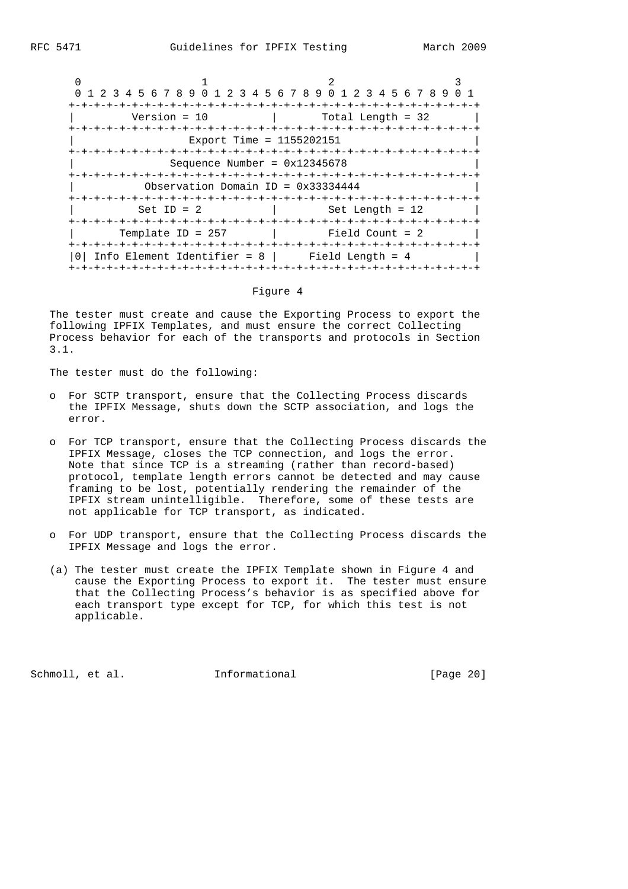|                                                        | 1 2 3 4 5 6 7 8 9 0 1 2 3 4 5 6 7 8 9 0 1 2 3 4 5 6 7 8 9 |  |  |
|--------------------------------------------------------|-----------------------------------------------------------|--|--|
| Version = $10$                                         | Total Length = $32$<br>-+-+-+-+-+-+-+-+-+                 |  |  |
| Export Time = 1155202151                               |                                                           |  |  |
| Sequence Number = $0x12345678$                         |                                                           |  |  |
| Observation Domain ID = $0x33334444$<br>-+-+-+-+-+-+-+ |                                                           |  |  |
| $Set ID = 2$                                           | $Set$ Length = 12                                         |  |  |
| Template ID = $257$                                    | Field Count = $2$                                         |  |  |
|                                                        | Info Element Identifier = $8$   Field Length = $4$        |  |  |

#### Figure 4

 The tester must create and cause the Exporting Process to export the following IPFIX Templates, and must ensure the correct Collecting Process behavior for each of the transports and protocols in Section 3.1.

The tester must do the following:

- o For SCTP transport, ensure that the Collecting Process discards the IPFIX Message, shuts down the SCTP association, and logs the error.
- o For TCP transport, ensure that the Collecting Process discards the IPFIX Message, closes the TCP connection, and logs the error. Note that since TCP is a streaming (rather than record-based) protocol, template length errors cannot be detected and may cause framing to be lost, potentially rendering the remainder of the IPFIX stream unintelligible. Therefore, some of these tests are not applicable for TCP transport, as indicated.
- o For UDP transport, ensure that the Collecting Process discards the IPFIX Message and logs the error.
- (a) The tester must create the IPFIX Template shown in Figure 4 and cause the Exporting Process to export it. The tester must ensure that the Collecting Process's behavior is as specified above for each transport type except for TCP, for which this test is not applicable.

Schmoll, et al. **Informational** [Page 20]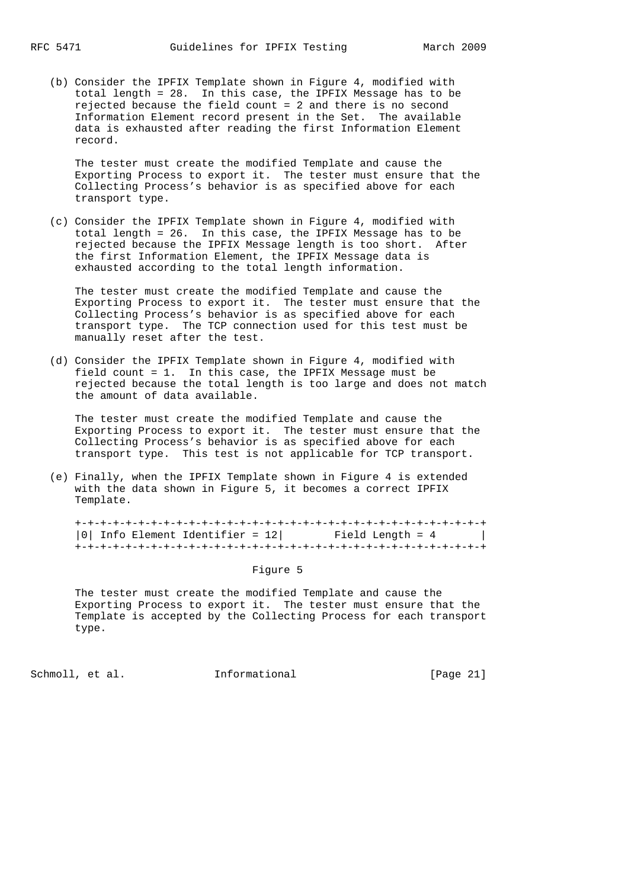(b) Consider the IPFIX Template shown in Figure 4, modified with total length = 28. In this case, the IPFIX Message has to be rejected because the field count = 2 and there is no second Information Element record present in the Set. The available data is exhausted after reading the first Information Element record.

 The tester must create the modified Template and cause the Exporting Process to export it. The tester must ensure that the Collecting Process's behavior is as specified above for each transport type.

 (c) Consider the IPFIX Template shown in Figure 4, modified with total length = 26. In this case, the IPFIX Message has to be rejected because the IPFIX Message length is too short. After the first Information Element, the IPFIX Message data is exhausted according to the total length information.

 The tester must create the modified Template and cause the Exporting Process to export it. The tester must ensure that the Collecting Process's behavior is as specified above for each transport type. The TCP connection used for this test must be manually reset after the test.

 (d) Consider the IPFIX Template shown in Figure 4, modified with field count = 1. In this case, the IPFIX Message must be rejected because the total length is too large and does not match the amount of data available.

 The tester must create the modified Template and cause the Exporting Process to export it. The tester must ensure that the Collecting Process's behavior is as specified above for each transport type. This test is not applicable for TCP transport.

 (e) Finally, when the IPFIX Template shown in Figure 4 is extended with the data shown in Figure 5, it becomes a correct IPFIX Template.

 +-+-+-+-+-+-+-+-+-+-+-+-+-+-+-+-+-+-+-+-+-+-+-+-+-+-+-+-+-+-+-+-+ |0| Info Element Identifier =  $12$ | Field Length =  $4$  | +-+-+-+-+-+-+-+-+-+-+-+-+-+-+-+-+-+-+-+-+-+-+-+-+-+-+-+-+-+-+-+-+

Figure 5

 The tester must create the modified Template and cause the Exporting Process to export it. The tester must ensure that the Template is accepted by the Collecting Process for each transport type.

Schmoll, et al. **Informational** [Page 21]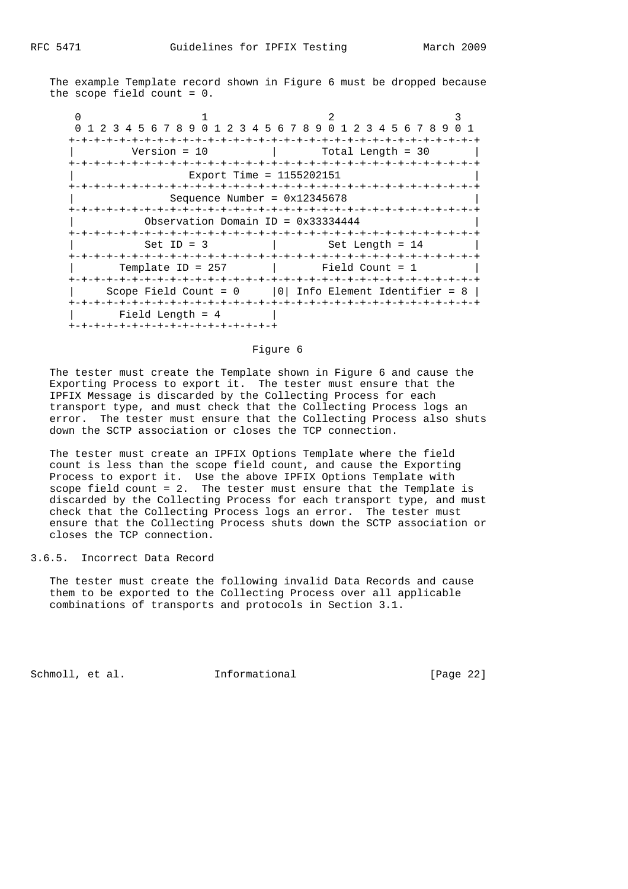The example Template record shown in Figure 6 must be dropped because the scope field count = 0.

 $0$  1 2 3 0 1 2 3 4 5 6 7 8 9 0 1 2 3 4 5 6 7 8 9 0 1 2 3 4 5 6 7 8 9 0 1 +-+-+-+-+-+-+-+-+-+-+-+-+-+-+-+-+-+-+-+-+-+-+-+-+-+-+-+-+-+-+-+-+  $Version = 10$  | Total Length = 30 +-+-+-+-+-+-+-+-+-+-+-+-+-+-+-+-+-+-+-+-+-+-+-+-+-+-+-+-+-+-+-+-+ Export Time = 1155202151 +-+-+-+-+-+-+-+-+-+-+-+-+-+-+-+-+-+-+-+-+-+-+-+-+-+-+-+-+-+-+-+-+  $Sequence Number = 0x12345678$  +-+-+-+-+-+-+-+-+-+-+-+-+-+-+-+-+-+-+-+-+-+-+-+-+-+-+-+-+-+-+-+-+ Observation Domain ID =  $0x33334444$  +-+-+-+-+-+-+-+-+-+-+-+-+-+-+-+-+-+-+-+-+-+-+-+-+-+-+-+-+-+-+-+-+  $Set ID = 3$  | Set Length = 14 +-+-+-+-+-+-+-+-+-+-+-+-+-+-+-+-+-+-+-+-+-+-+-+-+-+-+-+-+-+-+-+-+  $T$ emplate ID = 257 | Field Count = 1 +-+-+-+-+-+-+-+-+-+-+-+-+-+-+-+-+-+-+-+-+-+-+-+-+-+-+-+-+-+-+-+-+ | Scope Field Count =  $0$  | 0| Info Element Identifier = 8 | +-+-+-+-+-+-+-+-+-+-+-+-+-+-+-+-+-+-+-+-+-+-+-+-+-+-+-+-+-+-+-+-+ | Field Length = 4 +-+-+-+-+-+-+-+-+-+-+-+-+-+-+-+-+

#### Figure 6

 The tester must create the Template shown in Figure 6 and cause the Exporting Process to export it. The tester must ensure that the IPFIX Message is discarded by the Collecting Process for each transport type, and must check that the Collecting Process logs an error. The tester must ensure that the Collecting Process also shuts down the SCTP association or closes the TCP connection.

 The tester must create an IPFIX Options Template where the field count is less than the scope field count, and cause the Exporting Process to export it. Use the above IPFIX Options Template with scope field count = 2. The tester must ensure that the Template is discarded by the Collecting Process for each transport type, and must check that the Collecting Process logs an error. The tester must ensure that the Collecting Process shuts down the SCTP association or closes the TCP connection.

### 3.6.5. Incorrect Data Record

 The tester must create the following invalid Data Records and cause them to be exported to the Collecting Process over all applicable combinations of transports and protocols in Section 3.1.

Schmoll, et al. **Informational** [Page 22]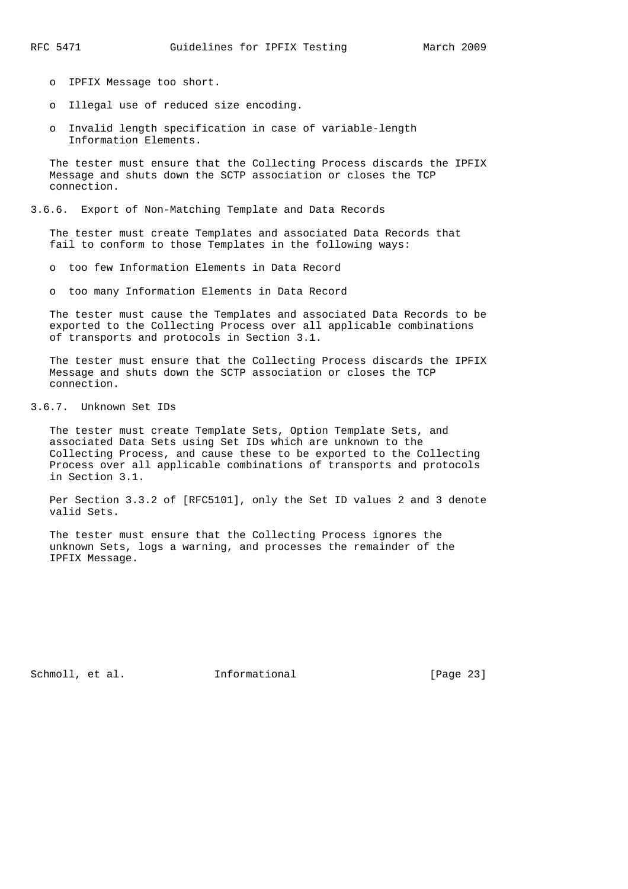- o IPFIX Message too short.
- o Illegal use of reduced size encoding.
- o Invalid length specification in case of variable-length Information Elements.

 The tester must ensure that the Collecting Process discards the IPFIX Message and shuts down the SCTP association or closes the TCP connection.

#### 3.6.6. Export of Non-Matching Template and Data Records

 The tester must create Templates and associated Data Records that fail to conform to those Templates in the following ways:

- o too few Information Elements in Data Record
- o too many Information Elements in Data Record

 The tester must cause the Templates and associated Data Records to be exported to the Collecting Process over all applicable combinations of transports and protocols in Section 3.1.

 The tester must ensure that the Collecting Process discards the IPFIX Message and shuts down the SCTP association or closes the TCP connection.

## 3.6.7. Unknown Set IDs

 The tester must create Template Sets, Option Template Sets, and associated Data Sets using Set IDs which are unknown to the Collecting Process, and cause these to be exported to the Collecting Process over all applicable combinations of transports and protocols in Section 3.1.

 Per Section 3.3.2 of [RFC5101], only the Set ID values 2 and 3 denote valid Sets.

 The tester must ensure that the Collecting Process ignores the unknown Sets, logs a warning, and processes the remainder of the IPFIX Message.

Schmoll, et al. **Informational** [Page 23]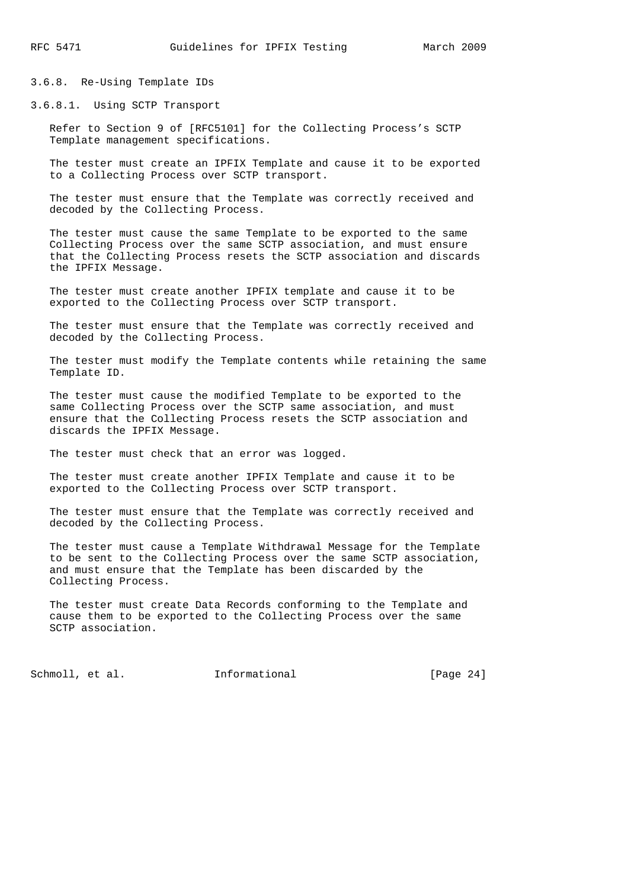3.6.8. Re-Using Template IDs

3.6.8.1. Using SCTP Transport

 Refer to Section 9 of [RFC5101] for the Collecting Process's SCTP Template management specifications.

 The tester must create an IPFIX Template and cause it to be exported to a Collecting Process over SCTP transport.

 The tester must ensure that the Template was correctly received and decoded by the Collecting Process.

 The tester must cause the same Template to be exported to the same Collecting Process over the same SCTP association, and must ensure that the Collecting Process resets the SCTP association and discards the IPFIX Message.

 The tester must create another IPFIX template and cause it to be exported to the Collecting Process over SCTP transport.

 The tester must ensure that the Template was correctly received and decoded by the Collecting Process.

 The tester must modify the Template contents while retaining the same Template ID.

 The tester must cause the modified Template to be exported to the same Collecting Process over the SCTP same association, and must ensure that the Collecting Process resets the SCTP association and discards the IPFIX Message.

The tester must check that an error was logged.

 The tester must create another IPFIX Template and cause it to be exported to the Collecting Process over SCTP transport.

 The tester must ensure that the Template was correctly received and decoded by the Collecting Process.

 The tester must cause a Template Withdrawal Message for the Template to be sent to the Collecting Process over the same SCTP association, and must ensure that the Template has been discarded by the Collecting Process.

 The tester must create Data Records conforming to the Template and cause them to be exported to the Collecting Process over the same SCTP association.

Schmoll, et al. **Informational** [Page 24]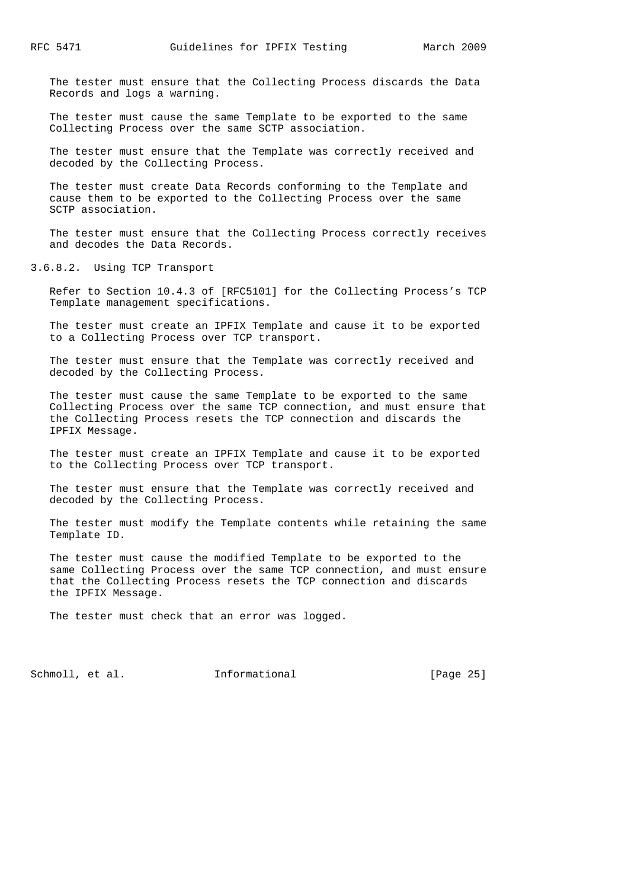The tester must ensure that the Collecting Process discards the Data Records and logs a warning.

 The tester must cause the same Template to be exported to the same Collecting Process over the same SCTP association.

 The tester must ensure that the Template was correctly received and decoded by the Collecting Process.

 The tester must create Data Records conforming to the Template and cause them to be exported to the Collecting Process over the same SCTP association.

 The tester must ensure that the Collecting Process correctly receives and decodes the Data Records.

3.6.8.2. Using TCP Transport

 Refer to Section 10.4.3 of [RFC5101] for the Collecting Process's TCP Template management specifications.

 The tester must create an IPFIX Template and cause it to be exported to a Collecting Process over TCP transport.

 The tester must ensure that the Template was correctly received and decoded by the Collecting Process.

 The tester must cause the same Template to be exported to the same Collecting Process over the same TCP connection, and must ensure that the Collecting Process resets the TCP connection and discards the IPFIX Message.

 The tester must create an IPFIX Template and cause it to be exported to the Collecting Process over TCP transport.

 The tester must ensure that the Template was correctly received and decoded by the Collecting Process.

 The tester must modify the Template contents while retaining the same Template ID.

 The tester must cause the modified Template to be exported to the same Collecting Process over the same TCP connection, and must ensure that the Collecting Process resets the TCP connection and discards the IPFIX Message.

The tester must check that an error was logged.

Schmoll, et al. **Informational** [Page 25]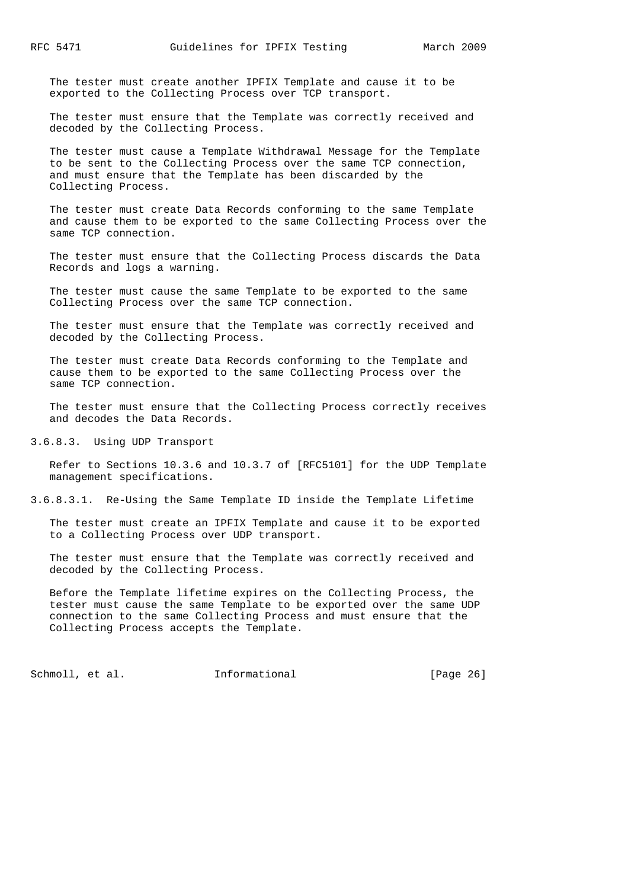The tester must create another IPFIX Template and cause it to be exported to the Collecting Process over TCP transport.

 The tester must ensure that the Template was correctly received and decoded by the Collecting Process.

 The tester must cause a Template Withdrawal Message for the Template to be sent to the Collecting Process over the same TCP connection, and must ensure that the Template has been discarded by the Collecting Process.

 The tester must create Data Records conforming to the same Template and cause them to be exported to the same Collecting Process over the same TCP connection.

 The tester must ensure that the Collecting Process discards the Data Records and logs a warning.

 The tester must cause the same Template to be exported to the same Collecting Process over the same TCP connection.

 The tester must ensure that the Template was correctly received and decoded by the Collecting Process.

 The tester must create Data Records conforming to the Template and cause them to be exported to the same Collecting Process over the same TCP connection.

 The tester must ensure that the Collecting Process correctly receives and decodes the Data Records.

3.6.8.3. Using UDP Transport

 Refer to Sections 10.3.6 and 10.3.7 of [RFC5101] for the UDP Template management specifications.

3.6.8.3.1. Re-Using the Same Template ID inside the Template Lifetime

 The tester must create an IPFIX Template and cause it to be exported to a Collecting Process over UDP transport.

 The tester must ensure that the Template was correctly received and decoded by the Collecting Process.

 Before the Template lifetime expires on the Collecting Process, the tester must cause the same Template to be exported over the same UDP connection to the same Collecting Process and must ensure that the Collecting Process accepts the Template.

Schmoll, et al. **Informational** [Page 26]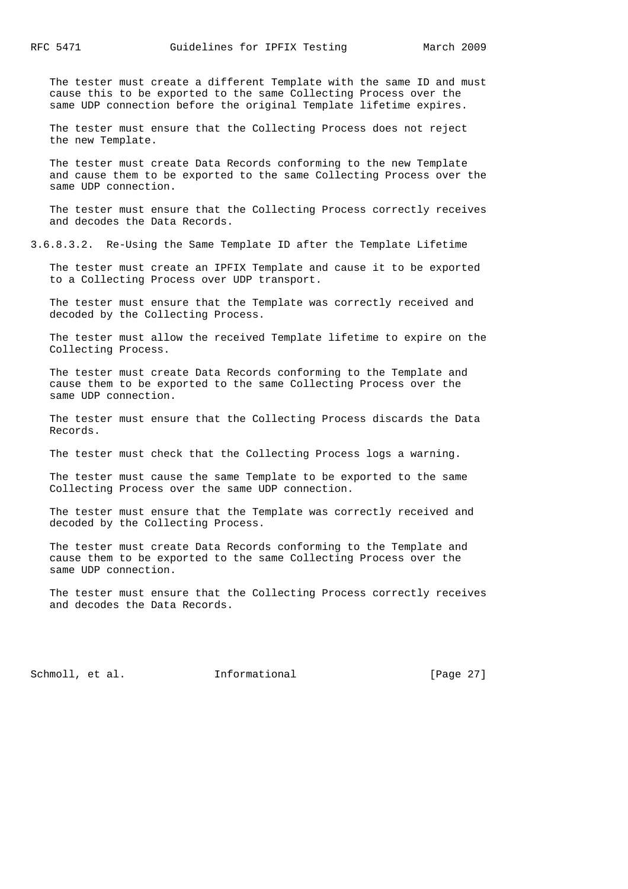The tester must create a different Template with the same ID and must cause this to be exported to the same Collecting Process over the same UDP connection before the original Template lifetime expires.

 The tester must ensure that the Collecting Process does not reject the new Template.

 The tester must create Data Records conforming to the new Template and cause them to be exported to the same Collecting Process over the same UDP connection.

 The tester must ensure that the Collecting Process correctly receives and decodes the Data Records.

3.6.8.3.2. Re-Using the Same Template ID after the Template Lifetime

 The tester must create an IPFIX Template and cause it to be exported to a Collecting Process over UDP transport.

 The tester must ensure that the Template was correctly received and decoded by the Collecting Process.

 The tester must allow the received Template lifetime to expire on the Collecting Process.

 The tester must create Data Records conforming to the Template and cause them to be exported to the same Collecting Process over the same UDP connection.

 The tester must ensure that the Collecting Process discards the Data Records.

The tester must check that the Collecting Process logs a warning.

 The tester must cause the same Template to be exported to the same Collecting Process over the same UDP connection.

 The tester must ensure that the Template was correctly received and decoded by the Collecting Process.

 The tester must create Data Records conforming to the Template and cause them to be exported to the same Collecting Process over the same UDP connection.

 The tester must ensure that the Collecting Process correctly receives and decodes the Data Records.

Schmoll, et al. **Informational** [Page 27]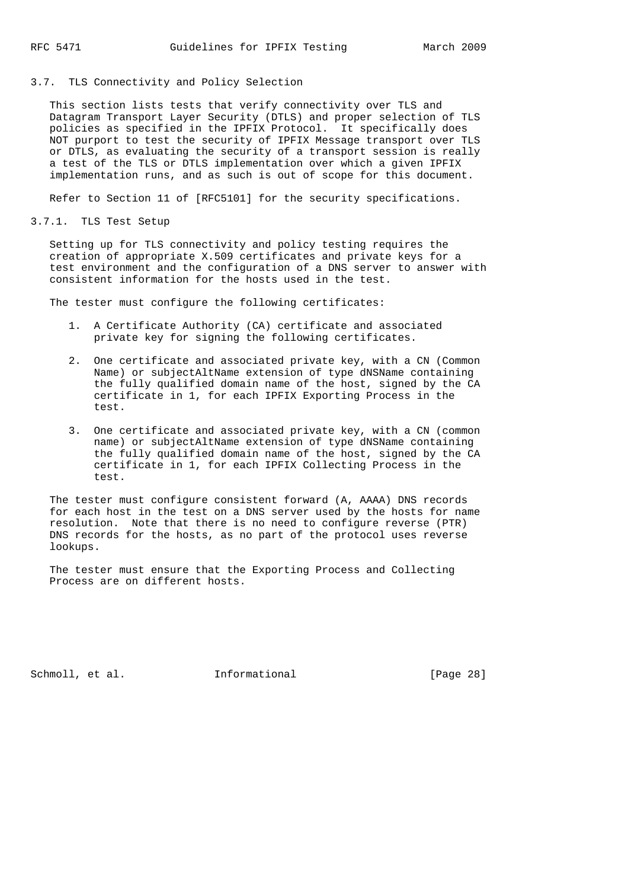## 3.7. TLS Connectivity and Policy Selection

 This section lists tests that verify connectivity over TLS and Datagram Transport Layer Security (DTLS) and proper selection of TLS policies as specified in the IPFIX Protocol. It specifically does NOT purport to test the security of IPFIX Message transport over TLS or DTLS, as evaluating the security of a transport session is really a test of the TLS or DTLS implementation over which a given IPFIX implementation runs, and as such is out of scope for this document.

Refer to Section 11 of [RFC5101] for the security specifications.

3.7.1. TLS Test Setup

 Setting up for TLS connectivity and policy testing requires the creation of appropriate X.509 certificates and private keys for a test environment and the configuration of a DNS server to answer with consistent information for the hosts used in the test.

The tester must configure the following certificates:

- 1. A Certificate Authority (CA) certificate and associated private key for signing the following certificates.
- 2. One certificate and associated private key, with a CN (Common Name) or subjectAltName extension of type dNSName containing the fully qualified domain name of the host, signed by the CA certificate in 1, for each IPFIX Exporting Process in the test.
- 3. One certificate and associated private key, with a CN (common name) or subjectAltName extension of type dNSName containing the fully qualified domain name of the host, signed by the CA certificate in 1, for each IPFIX Collecting Process in the test.

 The tester must configure consistent forward (A, AAAA) DNS records for each host in the test on a DNS server used by the hosts for name resolution. Note that there is no need to configure reverse (PTR) DNS records for the hosts, as no part of the protocol uses reverse lookups.

 The tester must ensure that the Exporting Process and Collecting Process are on different hosts.

Schmoll, et al. **Informational** [Page 28]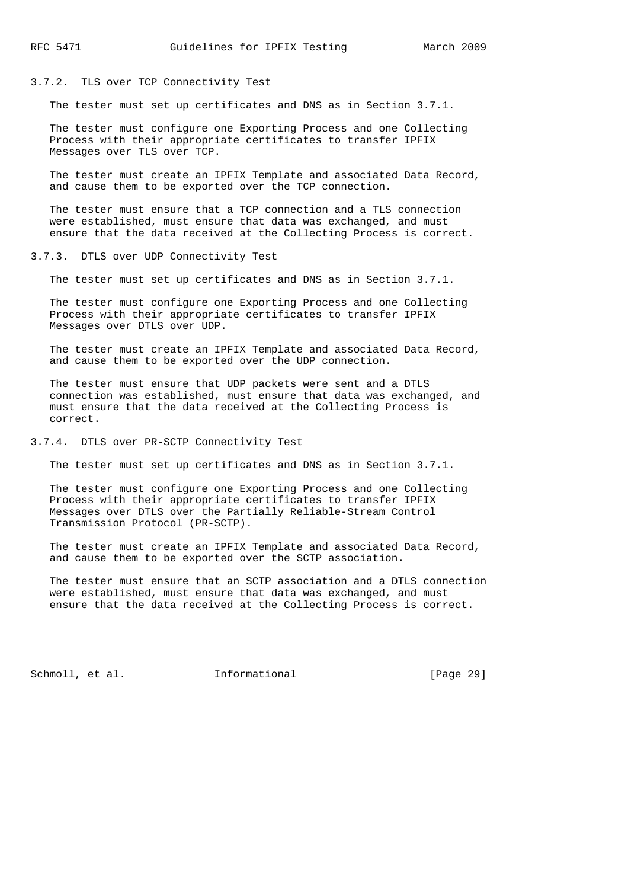### 3.7.2. TLS over TCP Connectivity Test

The tester must set up certificates and DNS as in Section 3.7.1.

 The tester must configure one Exporting Process and one Collecting Process with their appropriate certificates to transfer IPFIX Messages over TLS over TCP.

 The tester must create an IPFIX Template and associated Data Record, and cause them to be exported over the TCP connection.

 The tester must ensure that a TCP connection and a TLS connection were established, must ensure that data was exchanged, and must ensure that the data received at the Collecting Process is correct.

#### 3.7.3. DTLS over UDP Connectivity Test

The tester must set up certificates and DNS as in Section 3.7.1.

 The tester must configure one Exporting Process and one Collecting Process with their appropriate certificates to transfer IPFIX Messages over DTLS over UDP.

 The tester must create an IPFIX Template and associated Data Record, and cause them to be exported over the UDP connection.

 The tester must ensure that UDP packets were sent and a DTLS connection was established, must ensure that data was exchanged, and must ensure that the data received at the Collecting Process is correct.

3.7.4. DTLS over PR-SCTP Connectivity Test

The tester must set up certificates and DNS as in Section 3.7.1.

 The tester must configure one Exporting Process and one Collecting Process with their appropriate certificates to transfer IPFIX Messages over DTLS over the Partially Reliable-Stream Control Transmission Protocol (PR-SCTP).

 The tester must create an IPFIX Template and associated Data Record, and cause them to be exported over the SCTP association.

 The tester must ensure that an SCTP association and a DTLS connection were established, must ensure that data was exchanged, and must ensure that the data received at the Collecting Process is correct.

Schmoll, et al. **Informational** [Page 29]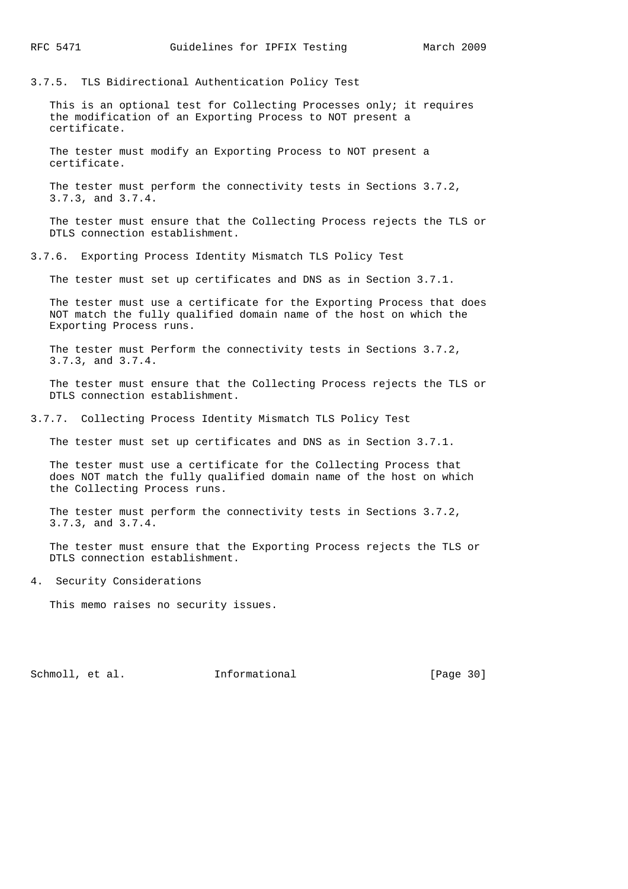3.7.5. TLS Bidirectional Authentication Policy Test

 This is an optional test for Collecting Processes only; it requires the modification of an Exporting Process to NOT present a certificate.

 The tester must modify an Exporting Process to NOT present a certificate.

 The tester must perform the connectivity tests in Sections 3.7.2, 3.7.3, and 3.7.4.

 The tester must ensure that the Collecting Process rejects the TLS or DTLS connection establishment.

3.7.6. Exporting Process Identity Mismatch TLS Policy Test

The tester must set up certificates and DNS as in Section 3.7.1.

 The tester must use a certificate for the Exporting Process that does NOT match the fully qualified domain name of the host on which the Exporting Process runs.

 The tester must Perform the connectivity tests in Sections 3.7.2, 3.7.3, and 3.7.4.

 The tester must ensure that the Collecting Process rejects the TLS or DTLS connection establishment.

3.7.7. Collecting Process Identity Mismatch TLS Policy Test

The tester must set up certificates and DNS as in Section 3.7.1.

 The tester must use a certificate for the Collecting Process that does NOT match the fully qualified domain name of the host on which the Collecting Process runs.

 The tester must perform the connectivity tests in Sections 3.7.2, 3.7.3, and 3.7.4.

 The tester must ensure that the Exporting Process rejects the TLS or DTLS connection establishment.

4. Security Considerations

This memo raises no security issues.

Schmoll, et al. **Informational** [Page 30]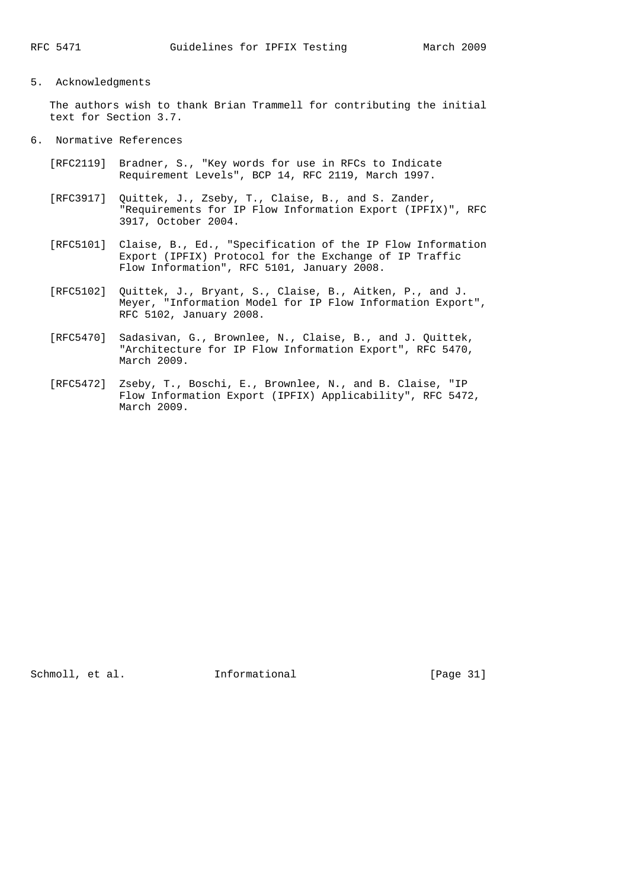## 5. Acknowledgments

 The authors wish to thank Brian Trammell for contributing the initial text for Section 3.7.

### 6. Normative References

- [RFC2119] Bradner, S., "Key words for use in RFCs to Indicate Requirement Levels", BCP 14, RFC 2119, March 1997.
- [RFC3917] Quittek, J., Zseby, T., Claise, B., and S. Zander, "Requirements for IP Flow Information Export (IPFIX)", RFC 3917, October 2004.
- [RFC5101] Claise, B., Ed., "Specification of the IP Flow Information Export (IPFIX) Protocol for the Exchange of IP Traffic Flow Information", RFC 5101, January 2008.
- [RFC5102] Quittek, J., Bryant, S., Claise, B., Aitken, P., and J. Meyer, "Information Model for IP Flow Information Export", RFC 5102, January 2008.
- [RFC5470] Sadasivan, G., Brownlee, N., Claise, B., and J. Quittek, "Architecture for IP Flow Information Export", RFC 5470, March 2009.
- [RFC5472] Zseby, T., Boschi, E., Brownlee, N., and B. Claise, "IP Flow Information Export (IPFIX) Applicability", RFC 5472, March 2009.

Schmoll, et al. **Informational** [Page 31]